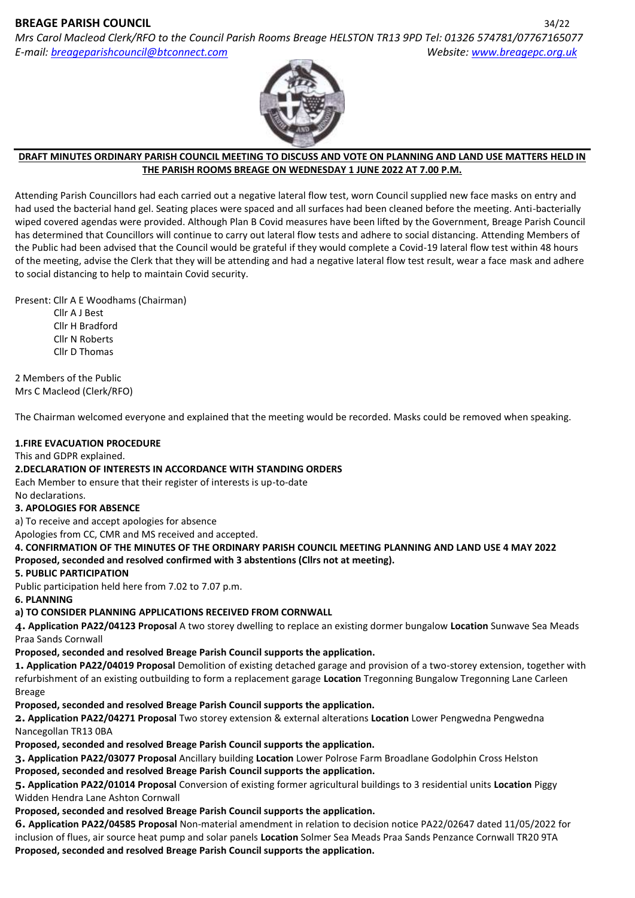# **BREAGE PARISH COUNCIL** 34/22

*Mrs Carol Macleod Clerk/RFO to the Council Parish Rooms Breage HELSTON TR13 9PD Tel: 01326 574781/07767165077 E-mail: [breageparishcouncil@btconnect.com](mailto:breageparishcouncil@btconnect.com) Website: [www.breagepc.org.uk](http://www.breagepc.org.uk/)*



#### **DRAFT MINUTES ORDINARY PARISH COUNCIL MEETING TO DISCUSS AND VOTE ON PLANNING AND LAND USE MATTERS HELD IN THE PARISH ROOMS BREAGE ON WEDNESDAY 1 JUNE 2022 AT 7.00 P.M.**

Attending Parish Councillors had each carried out a negative lateral flow test, worn Council supplied new face masks on entry and had used the bacterial hand gel. Seating places were spaced and all surfaces had been cleaned before the meeting. Anti-bacterially wiped covered agendas were provided. Although Plan B Covid measures have been lifted by the Government, Breage Parish Council has determined that Councillors will continue to carry out lateral flow tests and adhere to social distancing. Attending Members of the Public had been advised that the Council would be grateful if they would complete a Covid-19 lateral flow test within 48 hours of the meeting, advise the Clerk that they will be attending and had a negative lateral flow test result, wear a face mask and adhere to social distancing to help to maintain Covid security.

Present: Cllr A E Woodhams (Chairman)

 Cllr A J Best Cllr H Bradford Cllr N Roberts Cllr D Thomas

2 Members of the Public Mrs C Macleod (Clerk/RFO)

The Chairman welcomed everyone and explained that the meeting would be recorded. Masks could be removed when speaking.

# **1.FIRE EVACUATION PROCEDURE**

This and GDPR explained.

### **2.DECLARATION OF INTERESTS IN ACCORDANCE WITH STANDING ORDERS**

Each Member to ensure that their register of interests is up-to-date

No declarations.

### **3. APOLOGIES FOR ABSENCE**

a) To receive and accept apologies for absence

Apologies from CC, CMR and MS received and accepted.

**4. CONFIRMATION OF THE MINUTES OF THE ORDINARY PARISH COUNCIL MEETING PLANNING AND LAND USE 4 MAY 2022 Proposed, seconded and resolved confirmed with 3 abstentions (Cllrs not at meeting).**

### **5. PUBLIC PARTICIPATION**

Public participation held here from 7.02 to 7.07 p.m.

**6. PLANNING**

### **a) TO CONSIDER PLANNING APPLICATIONS RECEIVED FROM CORNWALL**

**4. Application PA22/04123 Proposal** A two storey dwelling to replace an existing dormer bungalow **Location** Sunwave Sea Meads Praa Sands Cornwall

### **Proposed, seconded and resolved Breage Parish Council supports the application.**

**1. Application PA22/04019 Proposal** Demolition of existing detached garage and provision of a two-storey extension, together with refurbishment of an existing outbuilding to form a replacement garage **Location** Tregonning Bungalow Tregonning Lane Carleen Breage

### **Proposed, seconded and resolved Breage Parish Council supports the application.**

**2. Application PA22/04271 Proposal** Two storey extension & external alterations **Location** Lower Pengwedna Pengwedna Nancegollan TR13 0BA

**Proposed, seconded and resolved Breage Parish Council supports the application.**

**3. Application PA22/03077 Proposal** Ancillary building **Location** Lower Polrose Farm Broadlane Godolphin Cross Helston **Proposed, seconded and resolved Breage Parish Council supports the application.**

**5. Application PA22/01014 Proposal** Conversion of existing former agricultural buildings to 3 residential units **Location** Piggy Widden Hendra Lane Ashton Cornwall

### **Proposed, seconded and resolved Breage Parish Council supports the application.**

**6. Application PA22/04585 Proposal** Non-material amendment in relation to decision notice PA22/02647 dated 11/05/2022 for inclusion of flues, air source heat pump and solar panels **Location** Solmer Sea Meads Praa Sands Penzance Cornwall TR20 9TA **Proposed, seconded and resolved Breage Parish Council supports the application.**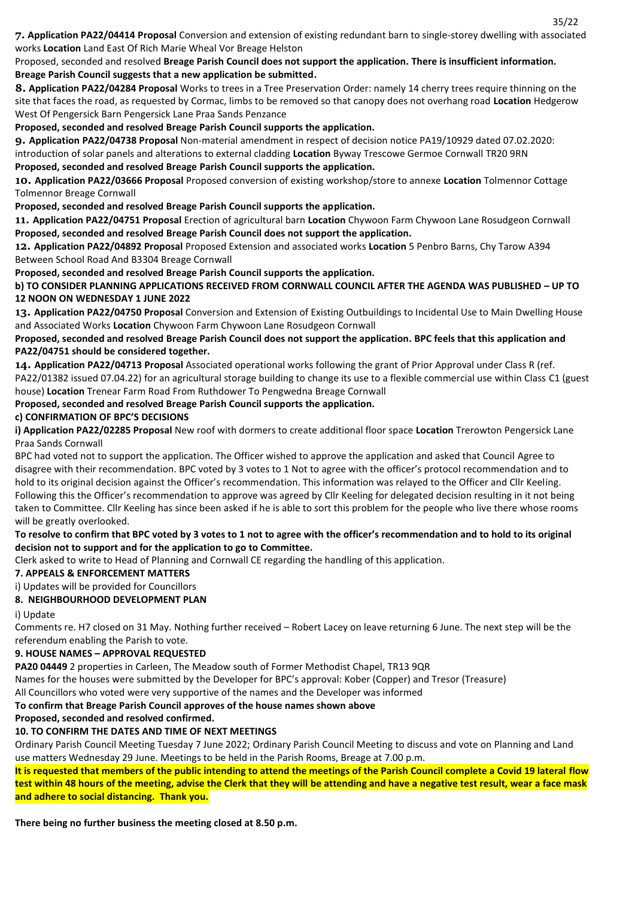**7. Application PA22/04414 Proposal** Conversion and extension of existing redundant barn to single-storey dwelling with associated works **Location** Land East Of Rich Marie Wheal Vor Breage Helston

Proposed, seconded and resolved **Breage Parish Council does not support the application. There is insufficient information. Breage Parish Council suggests that a new application be submitted.**

**8. Application PA22/04284 Proposal** Works to trees in a Tree Preservation Order: namely 14 cherry trees require thinning on the site that faces the road, as requested by Cormac, limbs to be removed so that canopy does not overhang road **Location** Hedgerow West Of Pengersick Barn Pengersick Lane Praa Sands Penzance

**Proposed, seconded and resolved Breage Parish Council supports the application.**

**9. Application PA22/04738 Proposal** Non-material amendment in respect of decision notice PA19/10929 dated 07.02.2020:

introduction of solar panels and alterations to external cladding **Location** Byway Trescowe Germoe Cornwall TR20 9RN **Proposed, seconded and resolved Breage Parish Council supports the application.**

**10. Application PA22/03666 Proposal** Proposed conversion of existing workshop/store to annexe **Location** Tolmennor Cottage Tolmennor Breage Cornwall

**Proposed, seconded and resolved Breage Parish Council supports the application.**

**11. Application PA22/04751 Proposal** Erection of agricultural barn **Location** Chywoon Farm Chywoon Lane Rosudgeon Cornwall **Proposed, seconded and resolved Breage Parish Council does not support the application.**

**12. Application PA22/04892 Proposal** Proposed Extension and associated works **Location** 5 Penbro Barns, Chy Tarow A394 Between School Road And B3304 Breage Cornwall

**Proposed, seconded and resolved Breage Parish Council supports the application.**

**b) TO CONSIDER PLANNING APPLICATIONS RECEIVED FROM CORNWALL COUNCIL AFTER THE AGENDA WAS PUBLISHED – UP TO 12 NOON ON WEDNESDAY 1 JUNE 2022**

**13. Application PA22/04750 Proposal** Conversion and Extension of Existing Outbuildings to Incidental Use to Main Dwelling House and Associated Works **Location** Chywoon Farm Chywoon Lane Rosudgeon Cornwall

**Proposed, seconded and resolved Breage Parish Council does not support the application. BPC feels that this application and PA22/04751 should be considered together.**

**14. Application PA22/04713 Proposal** Associated operational works following the grant of Prior Approval under Class R (ref. PA22/01382 issued 07.04.22) for an agricultural storage building to change its use to a flexible commercial use within Class C1 (guest house) **Location** Trenear Farm Road From Ruthdower To Pengwedna Breage Cornwall

**Proposed, seconded and resolved Breage Parish Council supports the application.**

### **c) CONFIRMATION OF BPC'S DECISIONS**

**i) Application PA22/02285 Proposal** New roof with dormers to create additional floor space **Location** Trerowton Pengersick Lane Praa Sands Cornwall

BPC had voted not to support the application. The Officer wished to approve the application and asked that Council Agree to disagree with their recommendation. BPC voted by 3 votes to 1 Not to agree with the officer's protocol recommendation and to hold to its original decision against the Officer's recommendation. This information was relayed to the Officer and Cllr Keeling. Following this the Officer's recommendation to approve was agreed by Cllr Keeling for delegated decision resulting in it not being taken to Committee. Cllr Keeling has since been asked if he is able to sort this problem for the people who live there whose rooms will be greatly overlooked.

#### **To resolve to confirm that BPC voted by 3 votes to 1 not to agree with the officer's recommendation and to hold to its original decision not to support and for the application to go to Committee.**

Clerk asked to write to Head of Planning and Cornwall CE regarding the handling of this application.

### **7. APPEALS & ENFORCEMENT MATTERS**

i) Updates will be provided for Councillors

### **8. NEIGHBOURHOOD DEVELOPMENT PLAN**

i) Update

Comments re. H7 closed on 31 May. Nothing further received – Robert Lacey on leave returning 6 June. The next step will be the referendum enabling the Parish to vote.

#### **9. HOUSE NAMES – APPROVAL REQUESTED**

**PA20 04449** 2 properties in Carleen, The Meadow south of Former Methodist Chapel, TR13 9QR

Names for the houses were submitted by the Developer for BPC's approval: Kober (Copper) and Tresor (Treasure)

All Councillors who voted were very supportive of the names and the Developer was informed

### **To confirm that Breage Parish Council approves of the house names shown above**

### **Proposed, seconded and resolved confirmed.**

### **10. TO CONFIRM THE DATES AND TIME OF NEXT MEETINGS**

Ordinary Parish Council Meeting Tuesday 7 June 2022; Ordinary Parish Council Meeting to discuss and vote on Planning and Land use matters Wednesday 29 June. Meetings to be held in the Parish Rooms, Breage at 7.00 p.m.

**It is requested that members of the public intending to attend the meetings of the Parish Council complete a Covid 19 lateral flow test within 48 hours of the meeting, advise the Clerk that they will be attending and have a negative test result, wear a face mask and adhere to social distancing. Thank you.**

**There being no further business the meeting closed at 8.50 p.m.**